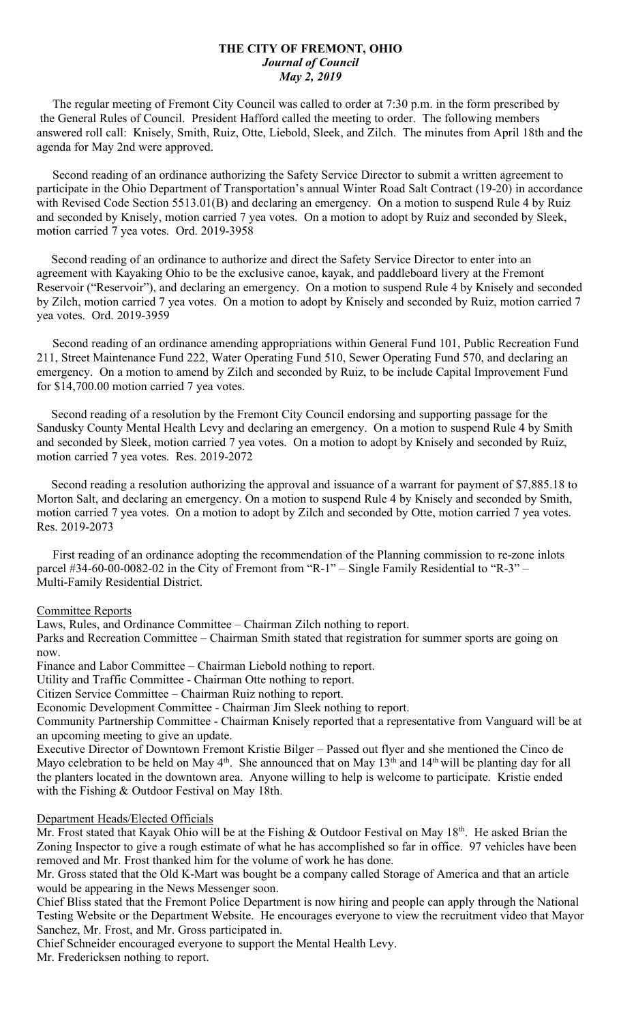## **THE CITY OF FREMONT, OHIO** *Journal of Council May 2, 2019*

 The regular meeting of Fremont City Council was called to order at 7:30 p.m. in the form prescribed by the General Rules of Council. President Hafford called the meeting to order. The following members answered roll call: Knisely, Smith, Ruiz, Otte, Liebold, Sleek, and Zilch. The minutes from April 18th and the agenda for May 2nd were approved.

 Second reading of an ordinance authorizing the Safety Service Director to submit a written agreement to participate in the Ohio Department of Transportation's annual Winter Road Salt Contract (19-20) in accordance with Revised Code Section 5513.01(B) and declaring an emergency. On a motion to suspend Rule 4 by Ruiz and seconded by Knisely, motion carried 7 yea votes. On a motion to adopt by Ruiz and seconded by Sleek, motion carried 7 yea votes. Ord. 2019-3958

 Second reading of an ordinance to authorize and direct the Safety Service Director to enter into an agreement with Kayaking Ohio to be the exclusive canoe, kayak, and paddleboard livery at the Fremont Reservoir ("Reservoir"), and declaring an emergency. On a motion to suspend Rule 4 by Knisely and seconded by Zilch, motion carried 7 yea votes. On a motion to adopt by Knisely and seconded by Ruiz, motion carried 7 yea votes. Ord. 2019-3959

 Second reading of an ordinance amending appropriations within General Fund 101, Public Recreation Fund 211, Street Maintenance Fund 222, Water Operating Fund 510, Sewer Operating Fund 570, and declaring an emergency. On a motion to amend by Zilch and seconded by Ruiz, to be include Capital Improvement Fund for \$14,700.00 motion carried 7 yea votes.

 Second reading of a resolution by the Fremont City Council endorsing and supporting passage for the Sandusky County Mental Health Levy and declaring an emergency. On a motion to suspend Rule 4 by Smith and seconded by Sleek, motion carried 7 yea votes. On a motion to adopt by Knisely and seconded by Ruiz, motion carried 7 yea votes. Res. 2019-2072

 Second reading a resolution authorizing the approval and issuance of a warrant for payment of \$7,885.18 to Morton Salt, and declaring an emergency. On a motion to suspend Rule 4 by Knisely and seconded by Smith, motion carried 7 yea votes. On a motion to adopt by Zilch and seconded by Otte, motion carried 7 yea votes. Res. 2019-2073

 First reading of an ordinance adopting the recommendation of the Planning commission to re-zone inlots parcel #34-60-00-0082-02 in the City of Fremont from "R-1" – Single Family Residential to "R-3" – Multi-Family Residential District.

## Committee Reports

Laws, Rules, and Ordinance Committee – Chairman Zilch nothing to report.

Parks and Recreation Committee – Chairman Smith stated that registration for summer sports are going on now.

Finance and Labor Committee – Chairman Liebold nothing to report.

Utility and Traffic Committee - Chairman Otte nothing to report.

Citizen Service Committee – Chairman Ruiz nothing to report.

Economic Development Committee - Chairman Jim Sleek nothing to report.

Community Partnership Committee - Chairman Knisely reported that a representative from Vanguard will be at an upcoming meeting to give an update.

Executive Director of Downtown Fremont Kristie Bilger – Passed out flyer and she mentioned the Cinco de Mayo celebration to be held on May  $4<sup>th</sup>$ . She announced that on May 13<sup>th</sup> and 14<sup>th</sup> will be planting day for all the planters located in the downtown area. Anyone willing to help is welcome to participate. Kristie ended with the Fishing & Outdoor Festival on May 18th.

## Department Heads/Elected Officials

Mr. Frost stated that Kayak Ohio will be at the Fishing & Outdoor Festival on May 18<sup>th</sup>. He asked Brian the Zoning Inspector to give a rough estimate of what he has accomplished so far in office. 97 vehicles have been removed and Mr. Frost thanked him for the volume of work he has done.

Mr. Gross stated that the Old K-Mart was bought be a company called Storage of America and that an article would be appearing in the News Messenger soon.

Chief Bliss stated that the Fremont Police Department is now hiring and people can apply through the National Testing Website or the Department Website. He encourages everyone to view the recruitment video that Mayor Sanchez, Mr. Frost, and Mr. Gross participated in.

Chief Schneider encouraged everyone to support the Mental Health Levy. Mr. Fredericksen nothing to report.